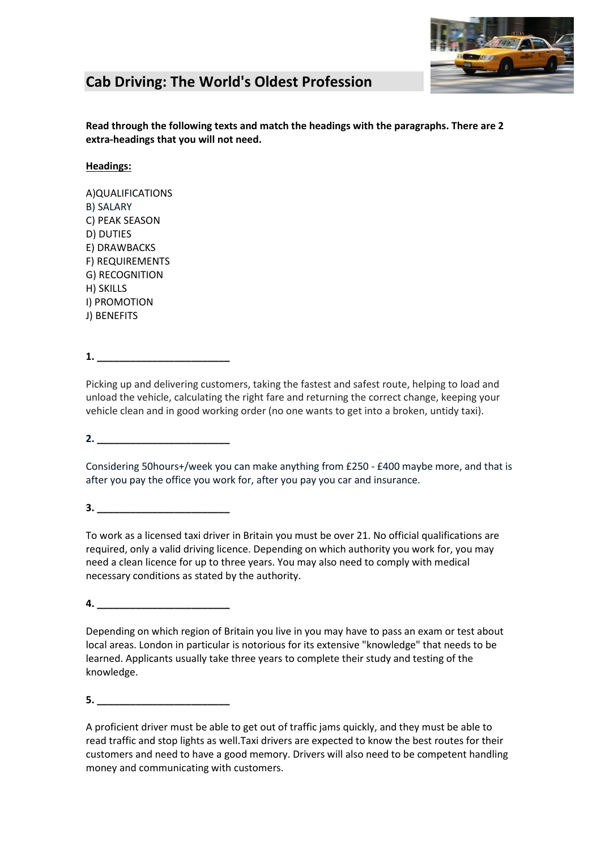

# **Cab Driving: The World's Oldest Profession**

**Read through the following texts and match the headings with the paragraphs. There are 2 extra-headings that you will not need.** 

### **Headings:**

A)QUALIFICATIONS B) SALARY C) PEAK SEASON D) DUTIES E) DRAWBACKS F) REQUIREMENTS G) RECOGNITION H) SKILLS I) PROMOTION J) BENEFITS

## **1. \_\_\_\_\_\_\_\_\_\_\_\_\_\_\_\_\_\_\_\_\_\_\_\_**

Picking up and delivering customers, taking the fastest and safest route, helping to load and unload the vehicle, calculating the right fare and returning the correct change, keeping your vehicle clean and in good working order (no one wants to get into a broken, untidy taxi).

**2. \_\_\_\_\_\_\_\_\_\_\_\_\_\_\_\_\_\_\_\_\_\_\_\_**

Considering 50hours+/week you can make anything from £250 - £400 maybe more, and that is after you pay the office you work for, after you pay you car and insurance.

**3. \_\_\_\_\_\_\_\_\_\_\_\_\_\_\_\_\_\_\_\_\_\_\_\_**

To work as [a licensed taxi driver](http://www.ufindus.com/licensed_taxi_driver/uk) in Britain you must be over 21. No official qualifications are required, only a valid driving licence. Depending on which authority you work for, you may need a clean licence for up to three years. You may also need to comply with medical necessary conditions as stated by the authority.

**4. \_\_\_\_\_\_\_\_\_\_\_\_\_\_\_\_\_\_\_\_\_\_\_\_**

Depending on which region of Britain you live in you may have to pass an exam or test about local areas. London in particular is notorious for its extensive "knowledge" that needs to be learned. Applicants usually take three years to complete their study and testing of the knowledge.

**5. \_\_\_\_\_\_\_\_\_\_\_\_\_\_\_\_\_\_\_\_\_\_\_\_**

A proficient driver must be able to get out of traffic jams quickly, and they must be able to read traffic and stop lights as well.Taxi drivers are expected to know the best routes for their customers and need to have a good memory. Drivers will also need to be competent handling money and communicating with customers.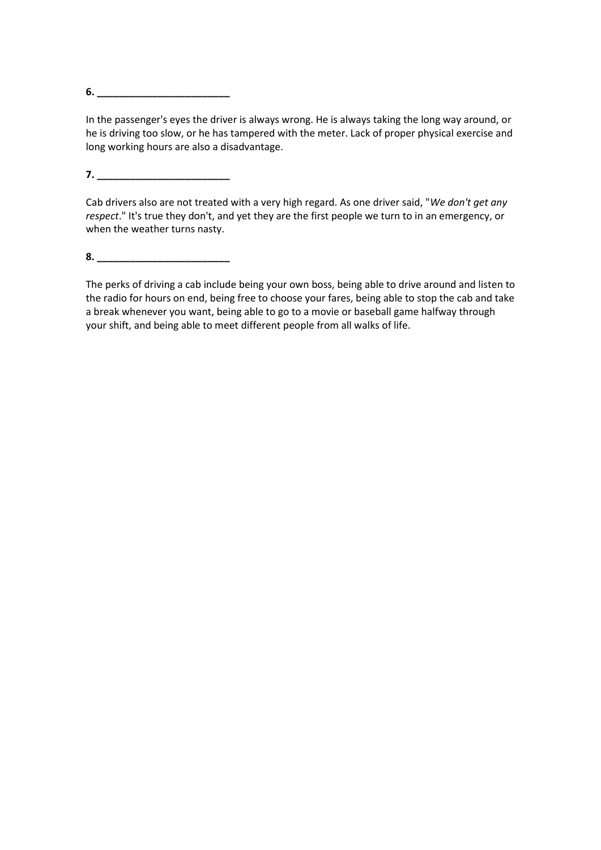**6. \_\_\_\_\_\_\_\_\_\_\_\_\_\_\_\_\_\_\_\_\_\_\_\_**

In the passenger's eyes the driver is always wrong. He is always taking the long way around, or he is driving too slow, or he has tampered with the meter. Lack of proper physical exercise and long working hours are also a disadvantage.

**7. \_\_\_\_\_\_\_\_\_\_\_\_\_\_\_\_\_\_\_\_\_\_\_\_**

Cab drivers also are not treated with a very high regard. As one driver said, "*We don't get any respect*." It's true they don't, and yet they are the first people we turn to in an emergency, or when the weather turns nasty.

**8. \_\_\_\_\_\_\_\_\_\_\_\_\_\_\_\_\_\_\_\_\_\_\_\_**

The perks of driving a cab include being your own boss, being able to drive around and listen to the radio for hours on end, being free to choose your fares, being able to stop the cab and take a break whenever you want, being able to go to a movie or baseball game halfway through your shift, and being able to meet different people from all walks of life.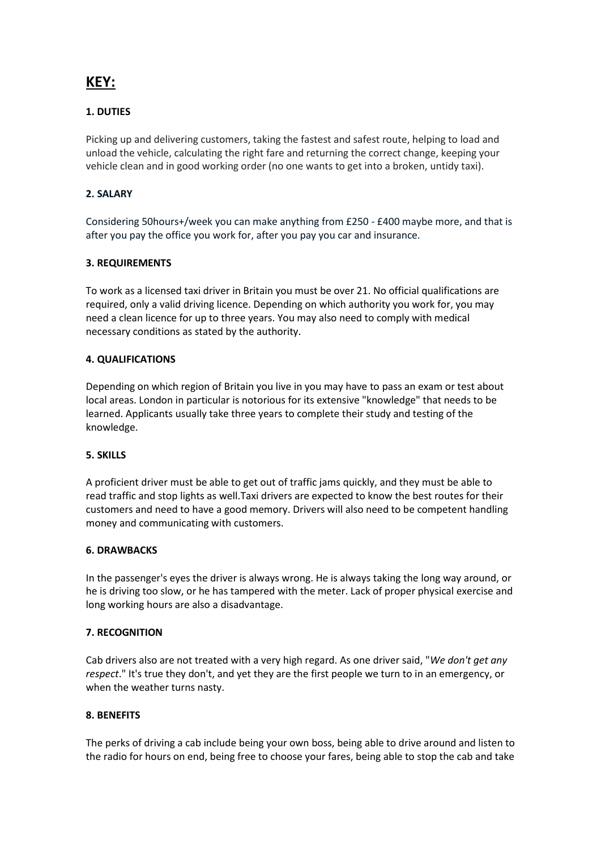# **KEY:**

### **1. DUTIES**

Picking up and delivering customers, taking the fastest and safest route, helping to load and unload the vehicle, calculating the right fare and returning the correct change, keeping your vehicle clean and in good working order (no one wants to get into a broken, untidy taxi).

#### **2. SALARY**

Considering 50hours+/week you can make anything from £250 - £400 maybe more, and that is after you pay the office you work for, after you pay you car and insurance.

#### **3. REQUIREMENTS**

To work as [a licensed taxi driver](http://www.ufindus.com/licensed_taxi_driver/uk) in Britain you must be over 21. No official qualifications are required, only a valid driving licence. Depending on which authority you work for, you may need a clean licence for up to three years. You may also need to comply with medical necessary conditions as stated by the authority.

#### **4. QUALIFICATIONS**

Depending on which region of Britain you live in you may have to pass an exam or test about local areas. London in particular is notorious for its extensive "knowledge" that needs to be learned. Applicants usually take three years to complete their study and testing of the knowledge.

#### **5. SKILLS**

A proficient driver must be able to get out of traffic jams quickly, and they must be able to read traffic and stop lights as well.Taxi drivers are expected to know the best routes for their customers and need to have a good memory. Drivers will also need to be competent handling money and communicating with customers.

#### **6. DRAWBACKS**

In the passenger's eyes the driver is always wrong. He is always taking the long way around, or he is driving too slow, or he has tampered with the meter. Lack of proper physical exercise and long working hours are also a disadvantage.

#### **7. RECOGNITION**

Cab drivers also are not treated with a very high regard. As one driver said, "*We don't get any respect*." It's true they don't, and yet they are the first people we turn to in an emergency, or when the weather turns nasty.

#### **8. BENEFITS**

The perks of driving a cab include being your own boss, being able to drive around and listen to the radio for hours on end, being free to choose your fares, being able to stop the cab and take